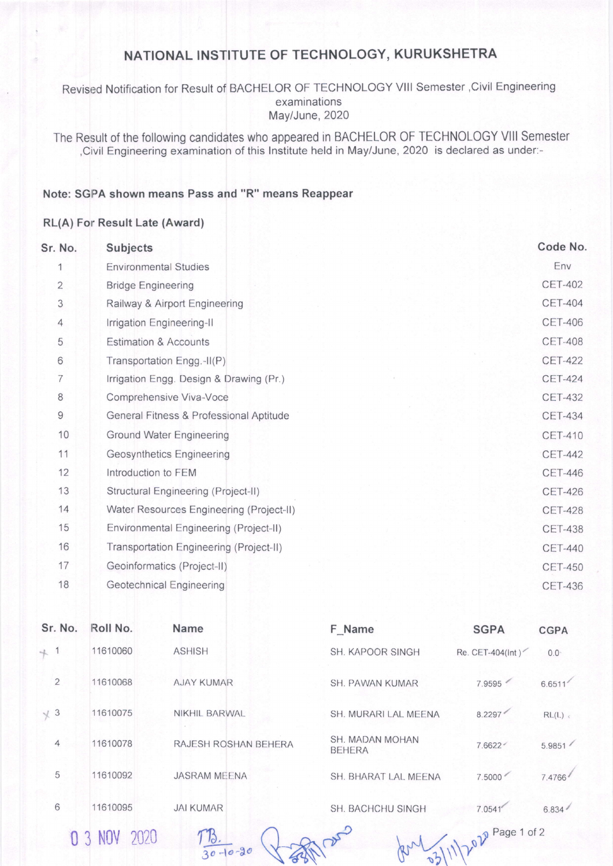## NATIONAL INSTITUTE OF TECHNOLOGY, KURUKSHETRA

Revised Notification for Result of BACHELOR OF TECHNOLOGY VIII Semester , Civil Engineering examinations May/June, 2020

The Result of the following candidates who appeared in BACHELOR OF TECHNOLOGY VIII Semester , Civil Engineering examination of this Institute held in May/June, 2020 is declared as under:-

## Note: SGPA shown means Pass and "R" means Reappear

## RL(A) For Result Late (Award)

| Sr. No.        | Subjects                                 | Code No.       |
|----------------|------------------------------------------|----------------|
| 1              | <b>Environmental Studies</b>             | Env            |
| $\overline{2}$ | <b>Bridge Engineering</b>                | <b>CET-402</b> |
| 3              | Railway & Airport Engineering            | <b>CET-404</b> |
| $\overline{4}$ | Irrigation Engineering-II                | <b>CET-406</b> |
| 5              | <b>Estimation &amp; Accounts</b>         | <b>CET-408</b> |
| 6              | Transportation Engg.-II(P)               | <b>CET-422</b> |
| 7              | Irrigation Engg. Design & Drawing (Pr.)  | <b>CET-424</b> |
| 8              | Comprehensive Viva-Voce                  | <b>CET-432</b> |
| $\mathsf g$    | General Fitness & Professional Aptitude  | <b>CET-434</b> |
| 10             | <b>Ground Water Engineering</b>          | <b>CET-410</b> |
| 11             | <b>Geosynthetics Engineering</b>         | <b>CET-442</b> |
| 12             | Introduction to FEM                      | <b>CET-446</b> |
| 13             | Structural Engineering (Project-II)      | <b>CET-426</b> |
| 14             | Water Resources Engineering (Project-II) | <b>CET-428</b> |
| 15             | Environmental Engineering (Project-II)   | <b>CET-438</b> |
| 16             | Transportation Engineering (Project-II)  | <b>CET-440</b> |
| 17             | Geoinformatics (Project-II)              | <b>CET-450</b> |
| 18             | <b>Geotechnical Engineering</b>          | <b>CET-436</b> |
|                |                                          |                |

| Sr. No.        | Roll No. | Name                  | F Name                           | <b>SGPA</b>       | <b>CGPA</b>   |
|----------------|----------|-----------------------|----------------------------------|-------------------|---------------|
| $+ 1$          | 11610060 | <b>ASHISH</b>         | SH. KAPOOR SINGH                 | Re. CET-404(Int)  | $0.0^{\circ}$ |
| $\overline{2}$ | 11610068 | <b>AJAY KUMAR</b>     | <b>SH. PAWAN KUMAR</b>           | 7.9595            | 6.6511        |
| $\times$ 3     | 11610075 | <b>NIKHIL BARWAL</b>  | SH. MURARI LAL MEENA             | 8.2297            | RL(L)         |
| $\overline{4}$ | 11610078 | RAJESH ROSHAN BEHERA  | SH. MADAN MOHAN<br><b>BEHERA</b> | 7.6622            | 5.9851        |
| 5              | 11610092 | <b>JASRAM MEENA</b>   | SH. BHARAT LAL MEENA             | 7.5000            | 7.4766        |
| 6              | 11610095 | <b>JAI KUMAR</b>      | SH. BACHCHU SINGH                | 7.0541            | 6.834         |
|                | 2020     | 10.<br>$30 - 10 - 20$ |                                  | $202$ Page 1 of 2 |               |

0 3 NOV 2020

 $-10-20$